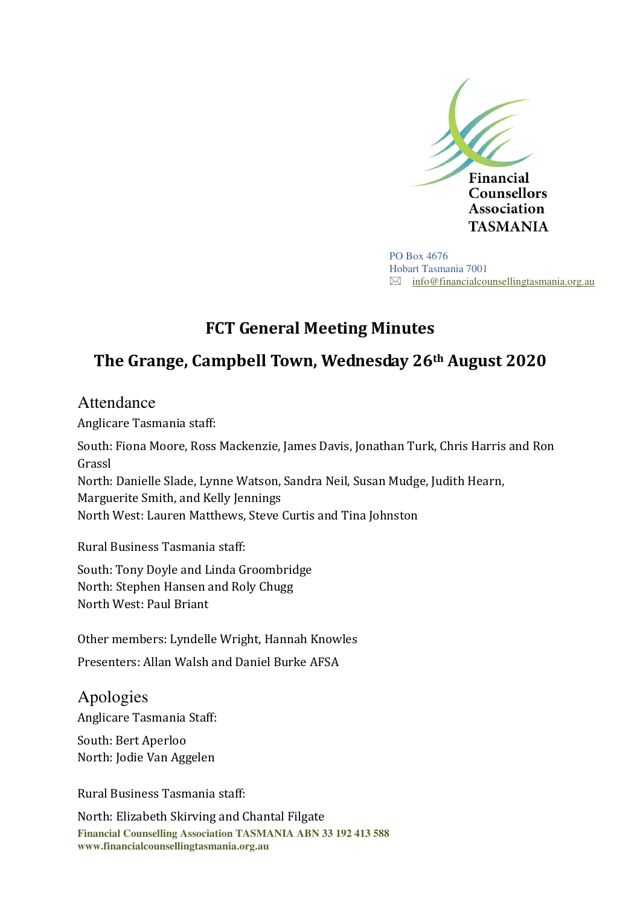

PO Box 4676 Hobart Tasmania 7001  $\boxtimes$  info@financialcounsellingtasmania.org.au

## **FCT General Meeting Minutes**

# **The Grange, Campbell Town, Wednesday 26th August 2020**

## Attendance

Anglicare Tasmania staff:

South: Fiona Moore, Ross Mackenzie, James Davis, Jonathan Turk, Chris Harris and Ron Grassl North: Danielle Slade, Lynne Watson, Sandra Neil, Susan Mudge, Judith Hearn, Marguerite Smith, and Kelly Jennings North West: Lauren Matthews, Steve Curtis and Tina Johnston

Rural Business Tasmania staff:

South: Tony Doyle and Linda Groombridge North: Stephen Hansen and Roly Chugg North West: Paul Briant

Other members: Lyndelle Wright, Hannah Knowles

Presenters: Allan Walsh and Daniel Burke AFSA

Apologies Anglicare Tasmania Staff:

South: Bert Aperloo North: Jodie Van Aggelen

Rural Business Tasmania staff:

**Financial Counselling Association TASMANIA ABN 33 192 413 588 www.financialcounsellingtasmania.org.au**  North: Elizabeth Skirving and Chantal Filgate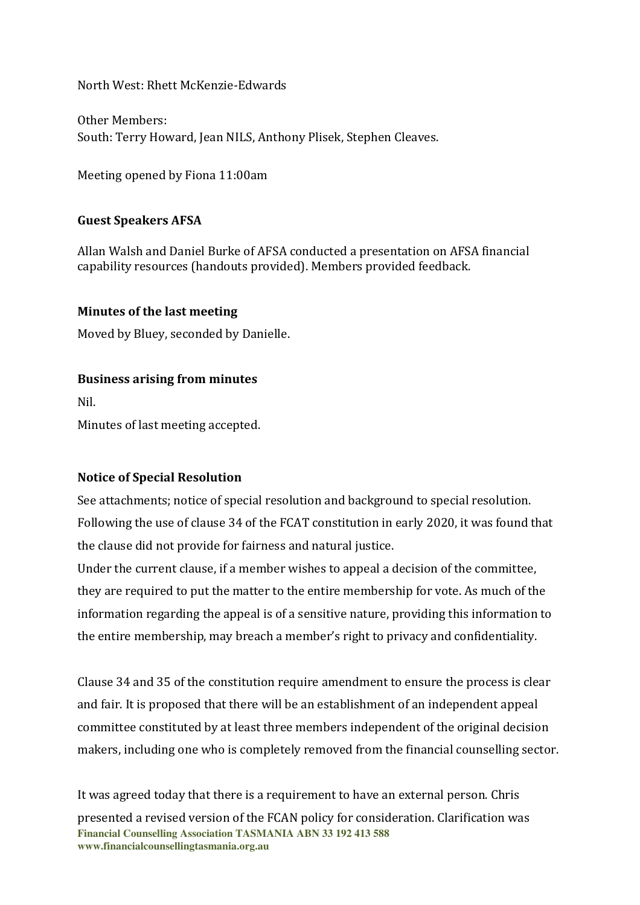North West: Rhett McKenzie-Edwards

Other Members: South: Terry Howard, Jean NILS, Anthony Plisek, Stephen Cleaves.

Meeting opened by Fiona 11:00am

### **Guest Speakers AFSA**

Allan Walsh and Daniel Burke of AFSA conducted a presentation on AFSA financial capability resources (handouts provided). Members provided feedback.

#### **Minutes of the last meeting**

Moved by Bluey, seconded by Danielle.

#### **Business arising from minutes**

Nil.

Minutes of last meeting accepted.

#### **Notice of Special Resolution**

See attachments; notice of special resolution and background to special resolution. Following the use of clause 34 of the FCAT constitution in early 2020, it was found that the clause did not provide for fairness and natural justice.

Under the current clause, if a member wishes to appeal a decision of the committee, they are required to put the matter to the entire membership for vote. As much of the information regarding the appeal is of a sensitive nature, providing this information to the entire membership, may breach a member's right to privacy and confidentiality.

Clause 34 and 35 of the constitution require amendment to ensure the process is clear and fair. It is proposed that there will be an establishment of an independent appeal committee constituted by at least three members independent of the original decision makers, including one who is completely removed from the financial counselling sector.

**Financial Counselling Association TASMANIA ABN 33 192 413 588 www.financialcounsellingtasmania.org.au**  It was agreed today that there is a requirement to have an external person. Chris presented a revised version of the FCAN policy for consideration. Clarification was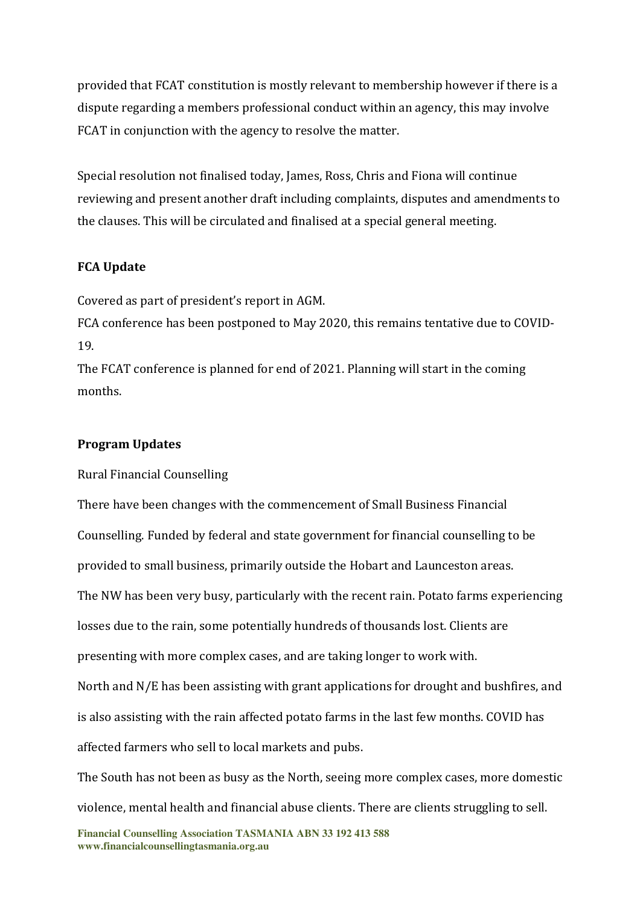provided that FCAT constitution is mostly relevant to membership however if there is a dispute regarding a members professional conduct within an agency, this may involve FCAT in conjunction with the agency to resolve the matter.

Special resolution not finalised today, James, Ross, Chris and Fiona will continue reviewing and present another draft including complaints, disputes and amendments to the clauses. This will be circulated and finalised at a special general meeting.

### **FCA Update**

Covered as part of president's report in AGM.

FCA conference has been postponed to May 2020, this remains tentative due to COVID-19.

The FCAT conference is planned for end of 2021. Planning will start in the coming months.

### **Program Updates**

Rural Financial Counselling

There have been changes with the commencement of Small Business Financial Counselling. Funded by federal and state government for financial counselling to be provided to small business, primarily outside the Hobart and Launceston areas. The NW has been very busy, particularly with the recent rain. Potato farms experiencing losses due to the rain, some potentially hundreds of thousands lost. Clients are presenting with more complex cases, and are taking longer to work with. North and N/E has been assisting with grant applications for drought and bushfires, and is also assisting with the rain affected potato farms in the last few months. COVID has affected farmers who sell to local markets and pubs.

The South has not been as busy as the North, seeing more complex cases, more domestic violence, mental health and financial abuse clients. There are clients struggling to sell.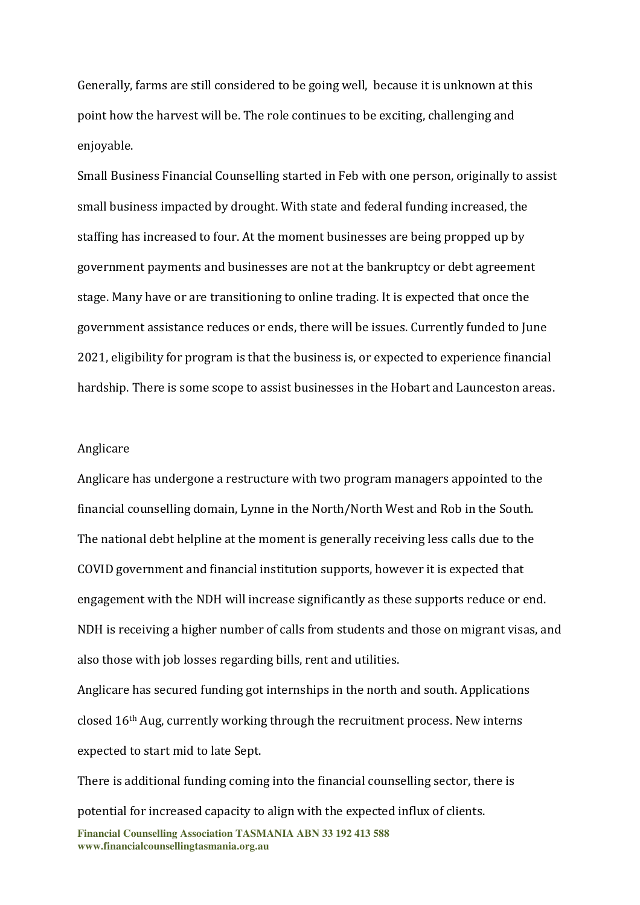Generally, farms are still considered to be going well, because it is unknown at this point how the harvest will be. The role continues to be exciting, challenging and enjoyable.

Small Business Financial Counselling started in Feb with one person, originally to assist small business impacted by drought. With state and federal funding increased, the staffing has increased to four. At the moment businesses are being propped up by government payments and businesses are not at the bankruptcy or debt agreement stage. Many have or are transitioning to online trading. It is expected that once the government assistance reduces or ends, there will be issues. Currently funded to June 2021, eligibility for program is that the business is, or expected to experience financial hardship. There is some scope to assist businesses in the Hobart and Launceston areas.

#### Anglicare

Anglicare has undergone a restructure with two program managers appointed to the financial counselling domain, Lynne in the North/North West and Rob in the South. The national debt helpline at the moment is generally receiving less calls due to the COVID government and financial institution supports, however it is expected that engagement with the NDH will increase significantly as these supports reduce or end. NDH is receiving a higher number of calls from students and those on migrant visas, and also those with job losses regarding bills, rent and utilities.

Anglicare has secured funding got internships in the north and south. Applications closed 16th Aug, currently working through the recruitment process. New interns expected to start mid to late Sept.

**Financial Counselling Association TASMANIA ABN 33 192 413 588 www.financialcounsellingtasmania.org.au**  There is additional funding coming into the financial counselling sector, there is potential for increased capacity to align with the expected influx of clients.